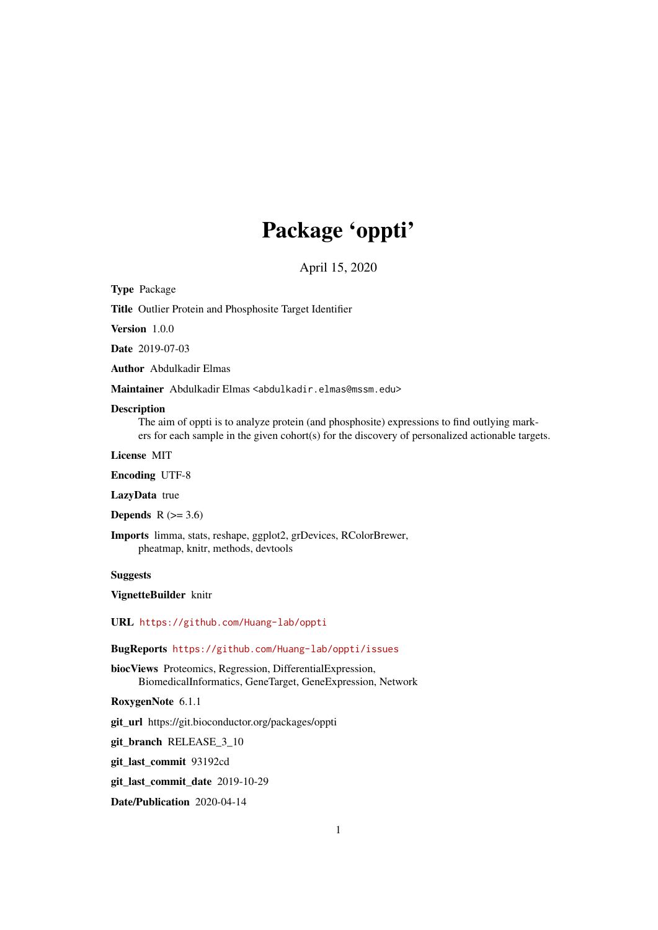## Package 'oppti'

April 15, 2020

Type Package

Title Outlier Protein and Phosphosite Target Identifier

Version 1.0.0

Date 2019-07-03

Author Abdulkadir Elmas

Maintainer Abdulkadir Elmas <abdulkadir.elmas@mssm.edu>

#### Description

The aim of oppti is to analyze protein (and phosphosite) expressions to find outlying markers for each sample in the given cohort(s) for the discovery of personalized actionable targets.

License MIT

Encoding UTF-8

LazyData true

Depends  $R$  ( $>= 3.6$ )

Imports limma, stats, reshape, ggplot2, grDevices, RColorBrewer, pheatmap, knitr, methods, devtools

#### Suggests

VignetteBuilder knitr

URL <https://github.com/Huang-lab/oppti>

#### BugReports <https://github.com/Huang-lab/oppti/issues>

biocViews Proteomics, Regression, DifferentialExpression, BiomedicalInformatics, GeneTarget, GeneExpression, Network

RoxygenNote 6.1.1

git\_url https://git.bioconductor.org/packages/oppti

git\_branch RELEASE\_3\_10

git\_last\_commit 93192cd

git last commit date 2019-10-29

Date/Publication 2020-04-14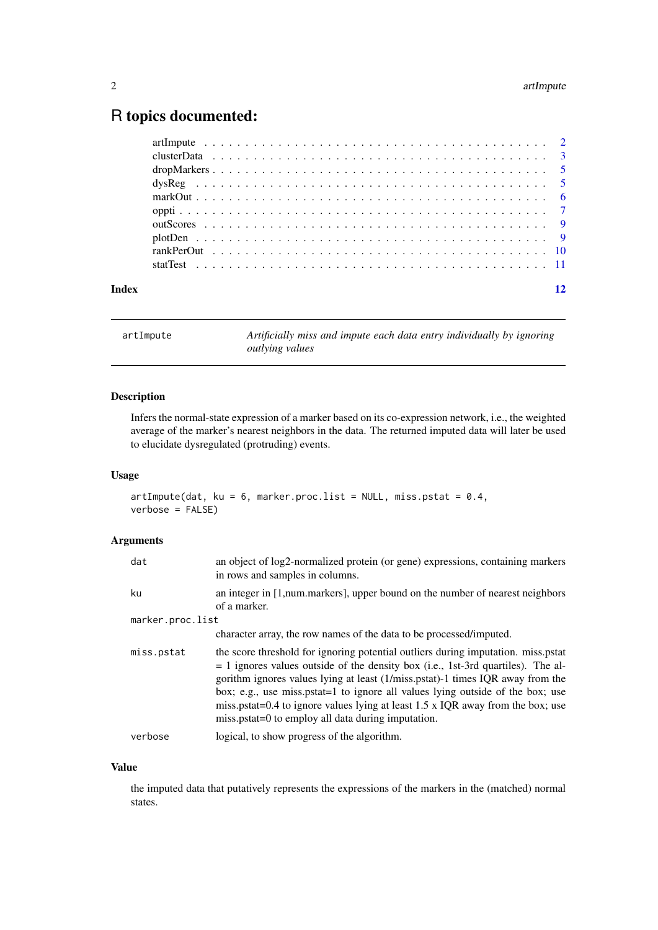### <span id="page-1-0"></span>R topics documented:

| Index |  |  |  |  |  |  |  |  |  |  |  |  |  |  |  |  |  |  |  |
|-------|--|--|--|--|--|--|--|--|--|--|--|--|--|--|--|--|--|--|--|
|       |  |  |  |  |  |  |  |  |  |  |  |  |  |  |  |  |  |  |  |
|       |  |  |  |  |  |  |  |  |  |  |  |  |  |  |  |  |  |  |  |
|       |  |  |  |  |  |  |  |  |  |  |  |  |  |  |  |  |  |  |  |
|       |  |  |  |  |  |  |  |  |  |  |  |  |  |  |  |  |  |  |  |
|       |  |  |  |  |  |  |  |  |  |  |  |  |  |  |  |  |  |  |  |
|       |  |  |  |  |  |  |  |  |  |  |  |  |  |  |  |  |  |  |  |
|       |  |  |  |  |  |  |  |  |  |  |  |  |  |  |  |  |  |  |  |
|       |  |  |  |  |  |  |  |  |  |  |  |  |  |  |  |  |  |  |  |
|       |  |  |  |  |  |  |  |  |  |  |  |  |  |  |  |  |  |  |  |
|       |  |  |  |  |  |  |  |  |  |  |  |  |  |  |  |  |  |  |  |

artImpute *Artificially miss and impute each data entry individually by ignoring outlying values*

#### Description

Infers the normal-state expression of a marker based on its co-expression network, i.e., the weighted average of the marker's nearest neighbors in the data. The returned imputed data will later be used to elucidate dysregulated (protruding) events.

#### Usage

```
artImpute(data, ku = 6, marker.proc.list = NULL, miss.pstat = 0.4,verbose = FALSE)
```
#### Arguments

| dat              | an object of log2-normalized protein (or gene) expressions, containing markers<br>in rows and samples in columns.                                                                                                                                                                                                                                                                                                                                                                    |
|------------------|--------------------------------------------------------------------------------------------------------------------------------------------------------------------------------------------------------------------------------------------------------------------------------------------------------------------------------------------------------------------------------------------------------------------------------------------------------------------------------------|
| ku               | an integer in [1, num. markers], upper bound on the number of nearest neighbors<br>of a marker.                                                                                                                                                                                                                                                                                                                                                                                      |
| marker.proc.list |                                                                                                                                                                                                                                                                                                                                                                                                                                                                                      |
|                  | character array, the row names of the data to be processed/imputed.                                                                                                                                                                                                                                                                                                                                                                                                                  |
| miss.pstat       | the score threshold for ignoring potential outliers during imputation. miss.pstat<br>$= 1$ ignores values outside of the density box (i.e., 1st-3rd quartiles). The al-<br>gorithm ignores values lying at least (1/miss.pstat)-1 times IQR away from the<br>box; e.g., use miss.pstat=1 to ignore all values lying outside of the box; use<br>miss.pstat=0.4 to ignore values lying at least 1.5 x IQR away from the box; use<br>miss.pstat=0 to employ all data during imputation. |
| verbose          | logical, to show progress of the algorithm.                                                                                                                                                                                                                                                                                                                                                                                                                                          |

#### Value

the imputed data that putatively represents the expressions of the markers in the (matched) normal states.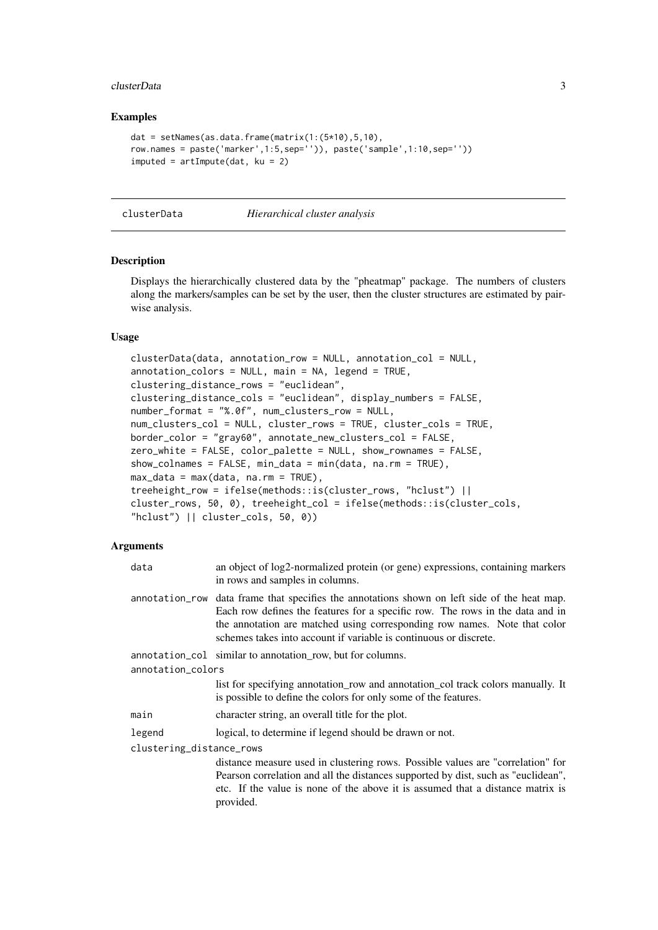#### <span id="page-2-0"></span>clusterData 3

#### Examples

```
dat = setNames(as.data.frame(matrix(1:(5*10),5,10),
row.names = paste('marker',1:5,sep='')), paste('sample',1:10,sep=''))
imputed = artImpute(data, ku = 2)
```
clusterData *Hierarchical cluster analysis*

#### Description

Displays the hierarchically clustered data by the "pheatmap" package. The numbers of clusters along the markers/samples can be set by the user, then the cluster structures are estimated by pairwise analysis.

#### Usage

```
clusterData(data, annotation_row = NULL, annotation_col = NULL,
annotation_colors = NULL, main = NA, legend = TRUE,
clustering_distance_rows = "euclidean",
clustering_distance_cols = "euclidean", display_numbers = FALSE,
number_format = "%.0f", num_clusters_row = NULL,
num_clusters_col = NULL, cluster_rows = TRUE, cluster_cols = TRUE,
border_color = "gray60", annotate_new_clusters_col = FALSE,
zero_white = FALSE, color_palette = NULL, show_rownames = FALSE,
show_colnames = FALSE, min_data = min(data, na.rm = TRUE),
max_data = max(data, na.rm = TRUE),treeheight_row = ifelse(methods::is(cluster_rows, "hclust") ||
cluster_rows, 50, 0), treeheight_col = ifelse(methods::is(cluster_cols,
"hclust") || cluster_cols, 50, 0))
```

| data                     | an object of log2-normalized protein (or gene) expressions, containing markers<br>in rows and samples in columns.                                                                                                                                                                                                               |  |  |  |
|--------------------------|---------------------------------------------------------------------------------------------------------------------------------------------------------------------------------------------------------------------------------------------------------------------------------------------------------------------------------|--|--|--|
|                          | annotation_row data frame that specifies the annotations shown on left side of the heat map.<br>Each row defines the features for a specific row. The rows in the data and in<br>the annotation are matched using corresponding row names. Note that color<br>schemes takes into account if variable is continuous or discrete. |  |  |  |
|                          | annotation_col similar to annotation row, but for columns.                                                                                                                                                                                                                                                                      |  |  |  |
| annotation_colors        |                                                                                                                                                                                                                                                                                                                                 |  |  |  |
|                          | list for specifying annotation_row and annotation_col track colors manually. It<br>is possible to define the colors for only some of the features.                                                                                                                                                                              |  |  |  |
| main                     | character string, an overall title for the plot.                                                                                                                                                                                                                                                                                |  |  |  |
| legend                   | logical, to determine if legend should be drawn or not.                                                                                                                                                                                                                                                                         |  |  |  |
| clustering_distance_rows |                                                                                                                                                                                                                                                                                                                                 |  |  |  |
|                          | distance measure used in clustering rows. Possible values are "correlation" for<br>Pearson correlation and all the distances supported by dist, such as "euclidean",<br>etc. If the value is none of the above it is assumed that a distance matrix is<br>provided.                                                             |  |  |  |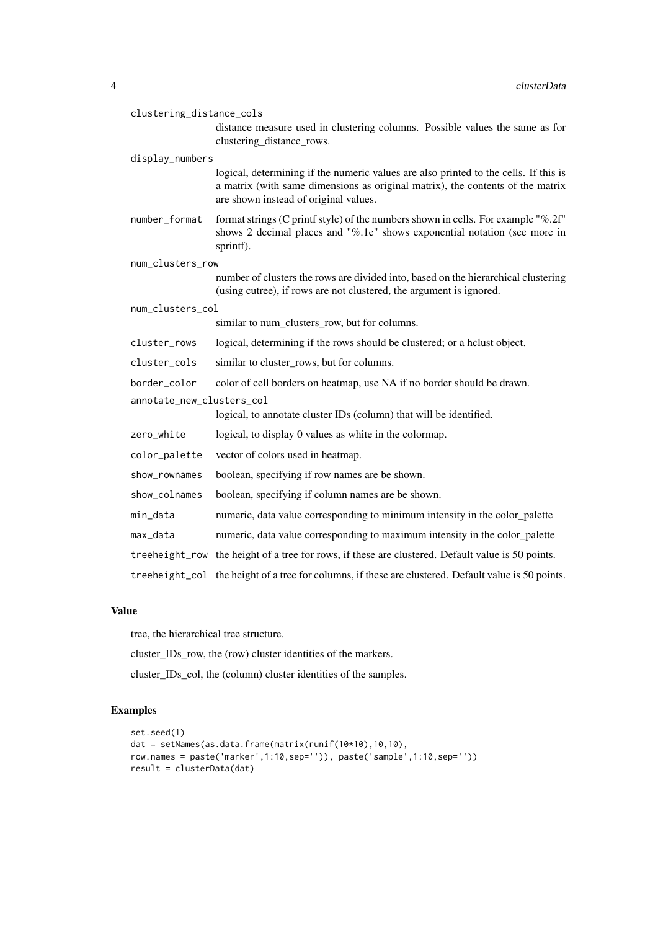| clustering_distance_cols  |                                                                                                                                                                                                                 |
|---------------------------|-----------------------------------------------------------------------------------------------------------------------------------------------------------------------------------------------------------------|
|                           | distance measure used in clustering columns. Possible values the same as for<br>clustering_distance_rows.                                                                                                       |
| display_numbers           |                                                                                                                                                                                                                 |
|                           | logical, determining if the numeric values are also printed to the cells. If this is<br>a matrix (with same dimensions as original matrix), the contents of the matrix<br>are shown instead of original values. |
| number_format             | format strings (C printf style) of the numbers shown in cells. For example "%.2f"<br>shows 2 decimal places and "%.1e" shows exponential notation (see more in<br>sprintf).                                     |
| num_clusters_row          |                                                                                                                                                                                                                 |
|                           | number of clusters the rows are divided into, based on the hierarchical clustering<br>(using cutree), if rows are not clustered, the argument is ignored.                                                       |
| num_clusters_col          |                                                                                                                                                                                                                 |
|                           | similar to num_clusters_row, but for columns.                                                                                                                                                                   |
| cluster_rows              | logical, determining if the rows should be clustered; or a hclust object.                                                                                                                                       |
| cluster_cols              | similar to cluster_rows, but for columns.                                                                                                                                                                       |
| border_color              | color of cell borders on heatmap, use NA if no border should be drawn.                                                                                                                                          |
| annotate_new_clusters_col |                                                                                                                                                                                                                 |
|                           | logical, to annotate cluster IDs (column) that will be identified.                                                                                                                                              |
| zero_white                | logical, to display 0 values as white in the colormap.                                                                                                                                                          |
| color_palette             | vector of colors used in heatmap.                                                                                                                                                                               |
| show_rownames             | boolean, specifying if row names are be shown.                                                                                                                                                                  |
| show_colnames             | boolean, specifying if column names are be shown.                                                                                                                                                               |
| min_data                  | numeric, data value corresponding to minimum intensity in the color_palette                                                                                                                                     |
| max_data                  | numeric, data value corresponding to maximum intensity in the color_palette                                                                                                                                     |
|                           | treeheight_row the height of a tree for rows, if these are clustered. Default value is 50 points.                                                                                                               |
|                           | treeheight_col the height of a tree for columns, if these are clustered. Default value is 50 points.                                                                                                            |

#### Value

tree, the hierarchical tree structure.

cluster\_IDs\_row, the (row) cluster identities of the markers.

cluster\_IDs\_col, the (column) cluster identities of the samples.

```
set.seed(1)
dat = setNames(as.data.frame(matrix(runif(10*10),10,10),
row.names = paste('marker',1:10,sep='')), paste('sample',1:10,sep=''))
result = clusterData(dat)
```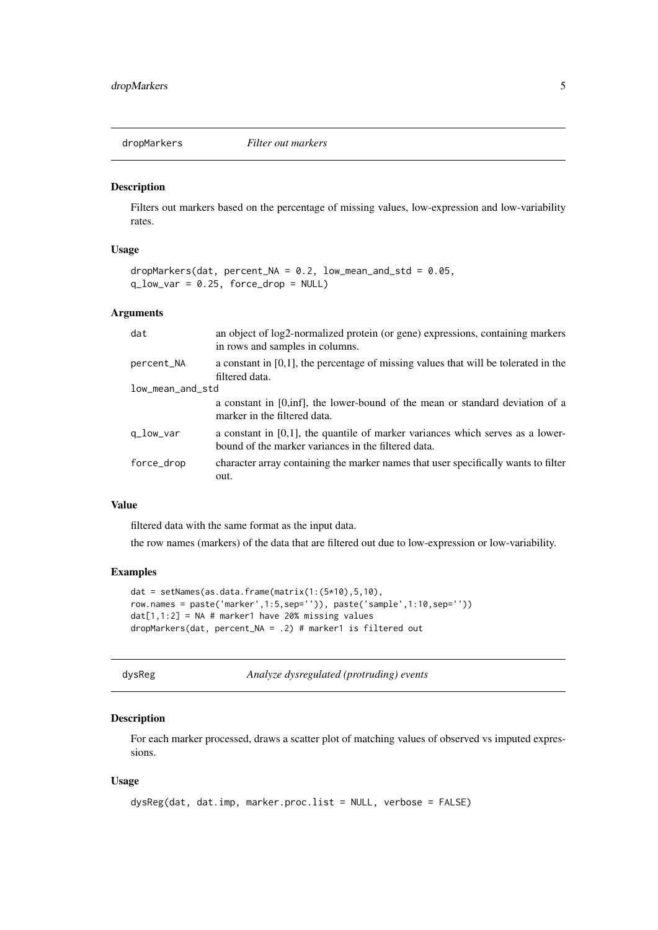<span id="page-4-0"></span>dropMarkers *Filter out markers*

#### Description

Filters out markers based on the percentage of missing values, low-expression and low-variability rates.

#### Usage

```
dropMarkers(dat, percent_NA = 0.2, low_mean_and_std = 0.05,
q_{\text{low\_var}} = 0.25, force_drop = NULL)
```
#### Arguments

| dat              | an object of log2-normalized protein (or gene) expressions, containing markers<br>in rows and samples in columns.                        |  |  |  |
|------------------|------------------------------------------------------------------------------------------------------------------------------------------|--|--|--|
| percent_NA       | a constant in $[0,1]$ , the percentage of missing values that will be tolerated in the<br>filtered data.                                 |  |  |  |
| low_mean_and_std |                                                                                                                                          |  |  |  |
|                  | a constant in [0,inf], the lower-bound of the mean or standard deviation of a<br>marker in the filtered data.                            |  |  |  |
| q_low_var        | a constant in $[0,1]$ , the quantile of marker variances which serves as a lower-<br>bound of the marker variances in the filtered data. |  |  |  |
| force_drop       | character array containing the marker names that user specifically wants to filter<br>out.                                               |  |  |  |

#### Value

filtered data with the same format as the input data.

the row names (markers) of the data that are filtered out due to low-expression or low-variability.

#### Examples

```
dat = setNames(as.data.frame(matrix(1:(5*10), 5, 10),
row.names = paste('marker',1:5,sep='')), paste('sample',1:10,sep=''))
dat[1,1:2] = NA # marker1 have 20% missing valuesdropMarkers(dat, percent_NA = .2) # marker1 is filtered out
```
dysReg *Analyze dysregulated (protruding) events*

#### Description

For each marker processed, draws a scatter plot of matching values of observed vs imputed expressions.

#### Usage

```
dysReg(dat, dat.imp, marker.proc.list = NULL, verbose = FALSE)
```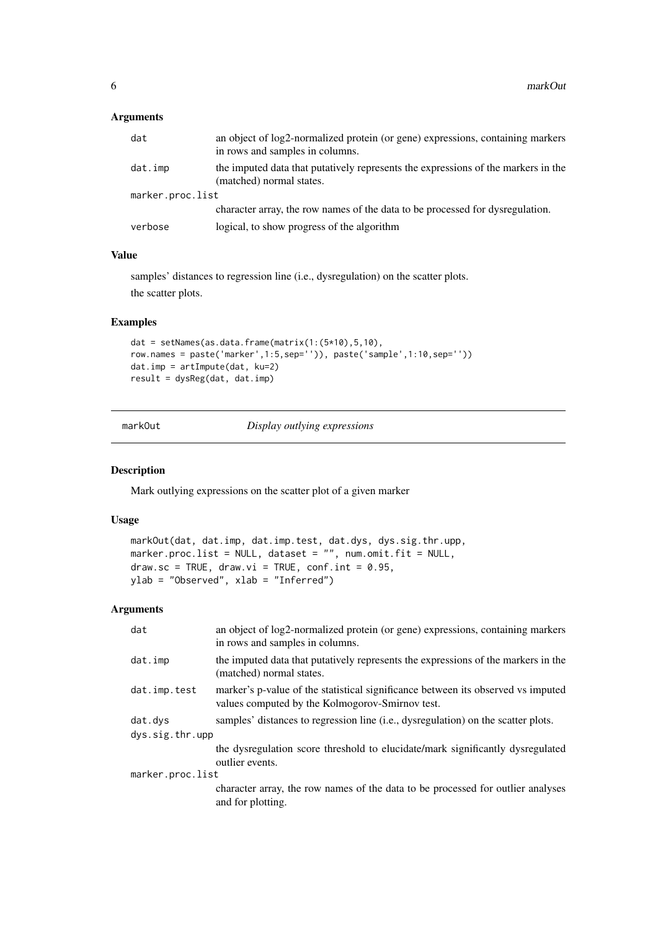#### <span id="page-5-0"></span>Arguments

| dat              | an object of log2-normalized protein (or gene) expressions, containing markers<br>in rows and samples in columns. |
|------------------|-------------------------------------------------------------------------------------------------------------------|
| dat.imp          | the imputed data that putatively represents the expressions of the markers in the<br>(matched) normal states.     |
| marker.proc.list |                                                                                                                   |
|                  | character array, the row names of the data to be processed for dysregulation.                                     |
| verbose          | logical, to show progress of the algorithm                                                                        |

#### Value

samples' distances to regression line (i.e., dysregulation) on the scatter plots. the scatter plots.

#### Examples

```
dat = setNames(as.data.frame(matrix(1:(5*10),5,10),
row.names = paste('marker',1:5,sep='')), paste('sample',1:10,sep=''))
dat.imp = artImpute(dat, ku=2)
result = dysReg(dat, dat.imp)
```
markOut *Display outlying expressions*

#### Description

Mark outlying expressions on the scatter plot of a given marker

#### Usage

```
markOut(dat, dat.imp, dat.imp.test, dat.dys, dys.sig.thr.upp,
marker.proc.list = NULL, dataset = ", num.omit.fit = NULL,
draw.sc = TRUE, draw.vi = TRUE, conf.int = 0.95,
ylab = "Observed", xlab = "Inferred")
```

| dat              | an object of log2-normalized protein (or gene) expressions, containing markers<br>in rows and samples in columns.                   |
|------------------|-------------------------------------------------------------------------------------------------------------------------------------|
| dat.imp          | the imputed data that putatively represents the expressions of the markers in the<br>(matched) normal states.                       |
| dat.imp.test     | marker's p-value of the statistical significance between its observed vs imputed<br>values computed by the Kolmogorov-Smirnov test. |
| dat.dys          | samples' distances to regression line (i.e., dysregulation) on the scatter plots.                                                   |
| dys.sig.thr.upp  |                                                                                                                                     |
|                  | the dysregulation score threshold to elucidate/mark significantly dysregulated<br>outlier events.                                   |
| marker.proc.list |                                                                                                                                     |
|                  | character array, the row names of the data to be processed for outlier analyses<br>and for plotting.                                |
|                  |                                                                                                                                     |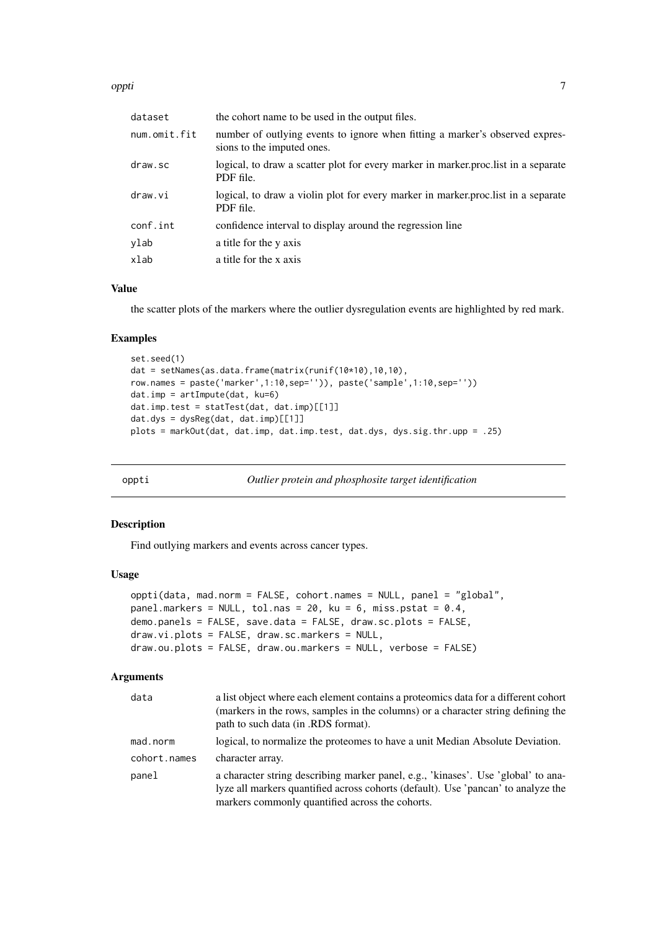#### <span id="page-6-0"></span>oppti the contract of the contract of the contract of the contract of the contract of the contract of the contract of the contract of the contract of the contract of the contract of the contract of the contract of the cont

| dataset      | the cohort name to be used in the output files.                                                            |
|--------------|------------------------------------------------------------------------------------------------------------|
| num.omit.fit | number of outlying events to ignore when fitting a marker's observed expres-<br>sions to the imputed ones. |
| draw.sc      | logical, to draw a scatter plot for every marker in marker proclist in a separate<br>PDF file.             |
| draw.vi      | logical, to draw a violin plot for every marker in marker proclist in a separate<br>PDF file.              |
| conf.int     | confidence interval to display around the regression line                                                  |
| ylab         | a title for the y axis                                                                                     |
| xlab         | a title for the x axis                                                                                     |
|              |                                                                                                            |

#### Value

the scatter plots of the markers where the outlier dysregulation events are highlighted by red mark.

#### Examples

```
set.seed(1)
dat = setNames(as.data.frame(matrix(runif(10*10),10,10),
row.names = paste('marker',1:10,sep='')), paste('sample',1:10,sep=''))
dat.imp = artImpute(dat, ku=6)
dat.imp.test = statTest(dat, dat.imp)[[1]]
dat.dys = dysReg(data, dat.imp)[[1]]plots = markOut(dat, dat.imp, dat.imp.test, dat.dys, dys.sig.thr.upp = .25)
```
oppti *Outlier protein and phosphosite target identification*

#### Description

Find outlying markers and events across cancer types.

#### Usage

```
oppti(data, mad.norm = FALSE, cohort.names = NULL, panel = "global",
panel.markers = NULL, tol.nas = 20, ku = 6, miss.pstat = 0.4,
demo.panels = FALSE, save.data = FALSE, draw.sc.plots = FALSE,
draw.vi.plots = FALSE, draw.sc.markers = NULL,
draw.ou.plots = FALSE, draw.ou.markers = NULL, verbose = FALSE)
```

| data         | a list object where each element contains a proteomics data for a different cohort<br>(markers in the rows, samples in the columns) or a character string defining the<br>path to such data (in .RDS format).             |
|--------------|---------------------------------------------------------------------------------------------------------------------------------------------------------------------------------------------------------------------------|
| mad.norm     | logical, to normalize the proteomes to have a unit Median Absolute Deviation.                                                                                                                                             |
| cohort.names | character array.                                                                                                                                                                                                          |
| panel        | a character string describing marker panel, e.g., 'kinases'. Use 'global' to ana-<br>lyze all markers quantified across cohorts (default). Use 'pancan' to analyze the<br>markers commonly quantified across the cohorts. |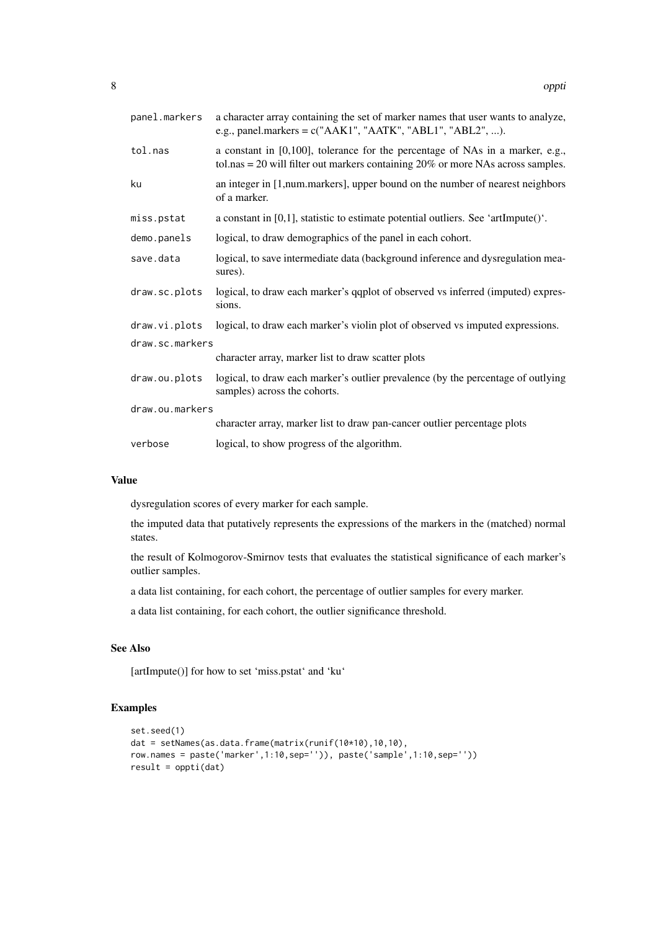| panel.markers   | a character array containing the set of marker names that user wants to analyze,<br>e.g., panel.markers = $c("AAK1", "AATK", "ABL1", "ABL2", ).$                         |
|-----------------|--------------------------------------------------------------------------------------------------------------------------------------------------------------------------|
| tol.nas         | a constant in $[0,100]$ , tolerance for the percentage of NAs in a marker, e.g.,<br>tol.nas = $20$ will filter out markers containing $20\%$ or more NAs across samples. |
| ku              | an integer in [1,num.markers], upper bound on the number of nearest neighbors<br>of a marker.                                                                            |
| miss.pstat      | a constant in $[0,1]$ , statistic to estimate potential outliers. See 'artImpute()'.                                                                                     |
| demo.panels     | logical, to draw demographics of the panel in each cohort.                                                                                                               |
| save.data       | logical, to save intermediate data (background inference and dysregulation mea-<br>sures).                                                                               |
| draw.sc.plots   | logical, to draw each marker's qqplot of observed vs inferred (imputed) expres-<br>sions.                                                                                |
| draw.vi.plots   | logical, to draw each marker's violin plot of observed vs imputed expressions.                                                                                           |
| draw.sc.markers |                                                                                                                                                                          |
|                 | character array, marker list to draw scatter plots                                                                                                                       |
| draw.ou.plots   | logical, to draw each marker's outlier prevalence (by the percentage of outlying<br>samples) across the cohorts.                                                         |
| draw.ou.markers |                                                                                                                                                                          |
|                 | character array, marker list to draw pan-cancer outlier percentage plots                                                                                                 |
| verbose         | logical, to show progress of the algorithm.                                                                                                                              |

#### Value

dysregulation scores of every marker for each sample.

the imputed data that putatively represents the expressions of the markers in the (matched) normal states.

the result of Kolmogorov-Smirnov tests that evaluates the statistical significance of each marker's outlier samples.

a data list containing, for each cohort, the percentage of outlier samples for every marker.

a data list containing, for each cohort, the outlier significance threshold.

#### See Also

[artImpute()] for how to set 'miss.pstat' and 'ku'

```
set.seed(1)
dat = setNames(as.data.frame(matrix(runif(10*10),10,10),
row.names = paste('marker',1:10,sep='')), paste('sample',1:10,sep=''))
result = oppti(dat)
```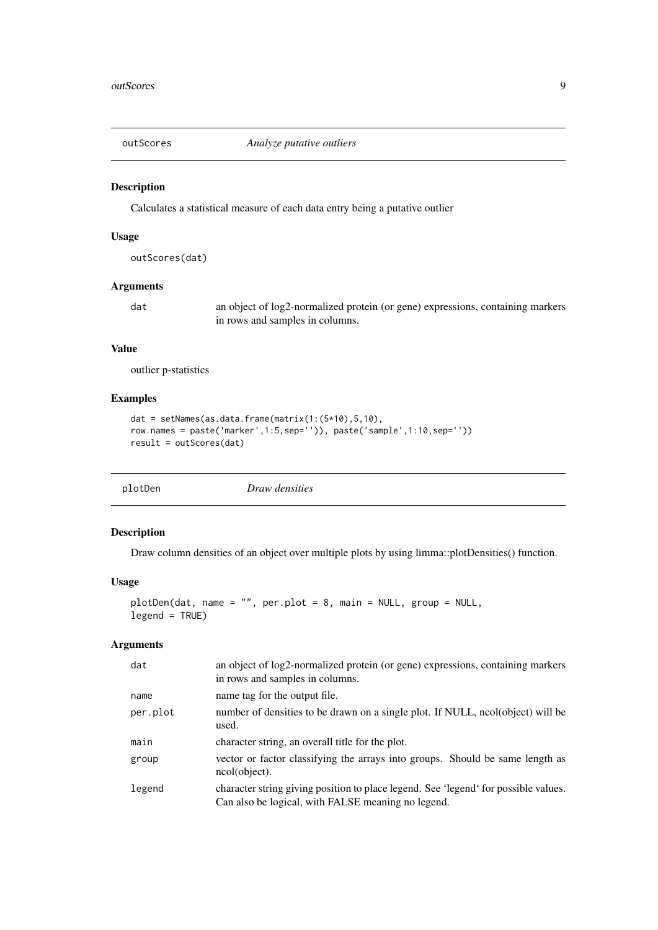<span id="page-8-0"></span>

#### Description

Calculates a statistical measure of each data entry being a putative outlier

#### Usage

outScores(dat)

#### Arguments

dat an object of log2-normalized protein (or gene) expressions, containing markers in rows and samples in columns.

#### Value

outlier p-statistics

#### Examples

```
dat = setNames(as.data.frame(matrix(1:(5*10),5,10),
row.names = paste('marker',1:5,sep='')), paste('sample',1:10,sep=''))
result = outScores(dat)
```

| plotDen |  |
|---------|--|
|         |  |

**Draw densities** 

#### Description

Draw column densities of an object over multiple plots by using limma::plotDensities() function.

#### Usage

```
plotDen(dat, name = "", per.plot = 8, main = NULL, group = NULL,
legend = TRUE)
```

| dat      | an object of log2-normalized protein (or gene) expressions, containing markers<br>in rows and samples in columns.                         |
|----------|-------------------------------------------------------------------------------------------------------------------------------------------|
| name     | name tag for the output file.                                                                                                             |
| per.plot | number of densities to be drawn on a single plot. If NULL, ncol(object) will be<br>used.                                                  |
| main     | character string, an overall title for the plot.                                                                                          |
| group    | vector or factor classifying the arrays into groups. Should be same length as<br>ncol(object).                                            |
| legend   | character string giving position to place legend. See 'legend' for possible values.<br>Can also be logical, with FALSE meaning no legend. |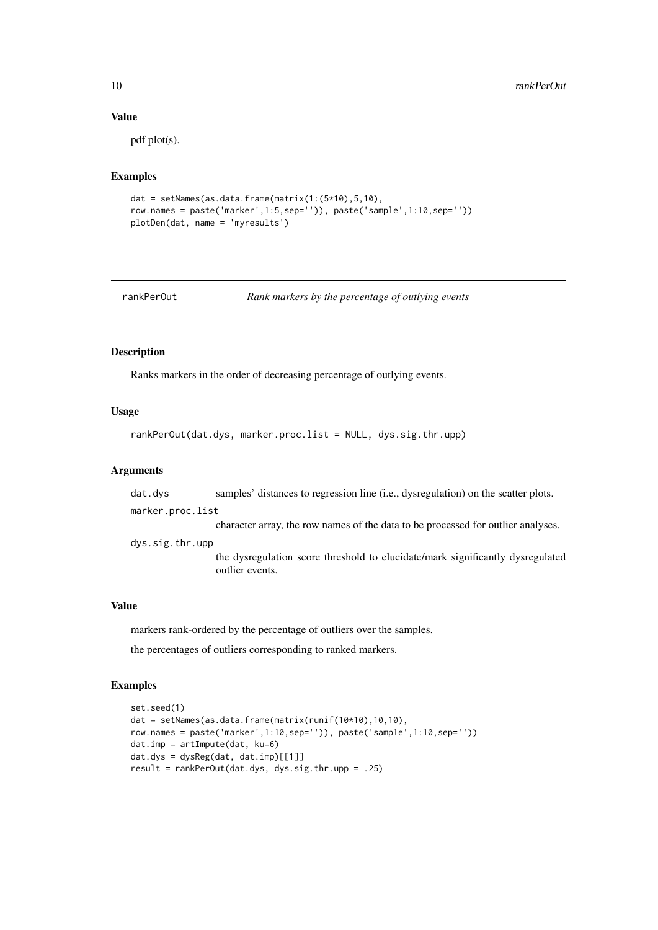#### Value

pdf plot(s).

#### Examples

```
dat = setNames(as.data.frame(matrix(1:(5*10),5,10),
row.names = paste('marker',1:5,sep='')), paste('sample',1:10,sep=''))
plotDen(dat, name = 'myresults')
```
rankPerOut *Rank markers by the percentage of outlying events*

#### Description

Ranks markers in the order of decreasing percentage of outlying events.

#### Usage

rankPerOut(dat.dys, marker.proc.list = NULL, dys.sig.thr.upp)

#### Arguments

dat.dys samples' distances to regression line (i.e., dysregulation) on the scatter plots.

marker.proc.list

character array, the row names of the data to be processed for outlier analyses.

dys.sig.thr.upp

the dysregulation score threshold to elucidate/mark significantly dysregulated outlier events.

#### Value

markers rank-ordered by the percentage of outliers over the samples.

the percentages of outliers corresponding to ranked markers.

```
set.seed(1)
dat = setNames(as.data.frame(matrix(runif(10*10),10,10),
row.names = paste('marker',1:10,sep='')), paste('sample',1:10,sep=''))
dat.imp = artImpute(dat, ku=6)
dat.dys = dysReg(data, dat.imp)[[1]]result = rankPerOut(dat.dys, dys.sig.thr.upp = .25)
```
<span id="page-9-0"></span>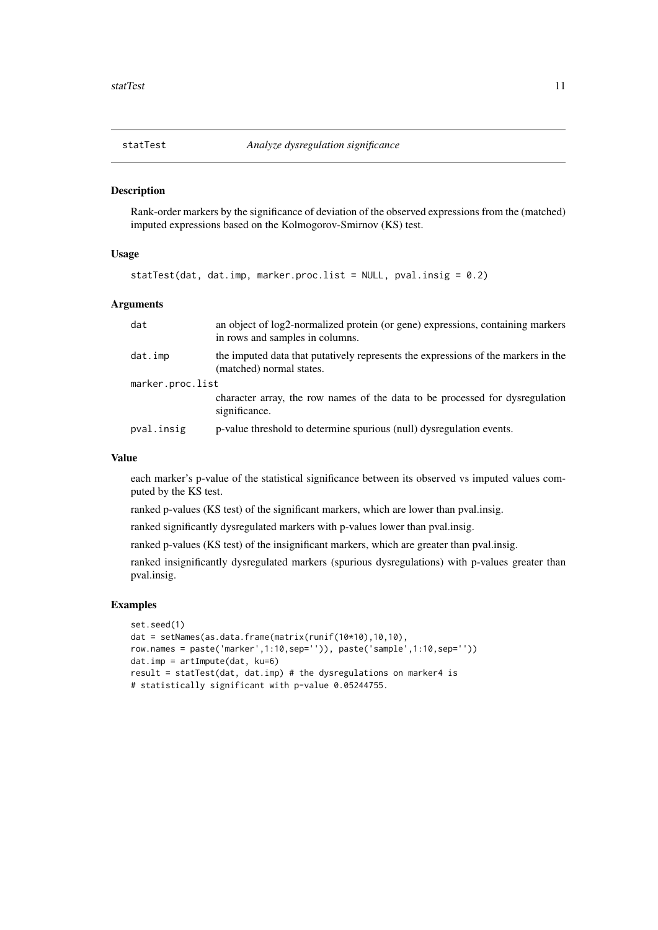<span id="page-10-0"></span>

#### Description

Rank-order markers by the significance of deviation of the observed expressions from the (matched) imputed expressions based on the Kolmogorov-Smirnov (KS) test.

#### Usage

statTest(dat, dat.imp, marker.proc.list = NULL, pval.insig =  $0.2$ )

#### Arguments

| dat              | an object of log2-normalized protein (or gene) expressions, containing markers<br>in rows and samples in columns. |
|------------------|-------------------------------------------------------------------------------------------------------------------|
| dat.imp          | the imputed data that putatively represents the expressions of the markers in the<br>(matched) normal states.     |
| marker.proc.list |                                                                                                                   |
|                  | character array, the row names of the data to be processed for dysregulation<br>significance.                     |
| pval.insig       | p-value threshold to determine spurious (null) dysregulation events.                                              |

#### Value

each marker's p-value of the statistical significance between its observed vs imputed values computed by the KS test.

ranked p-values (KS test) of the significant markers, which are lower than pval.insig.

ranked significantly dysregulated markers with p-values lower than pval.insig.

ranked p-values (KS test) of the insignificant markers, which are greater than pval.insig.

ranked insignificantly dysregulated markers (spurious dysregulations) with p-values greater than pval.insig.

```
set.seed(1)
dat = setNames(as.data.frame(matrix(runif(10*10),10,10),
row.names = paste('marker',1:10,sep='')), paste('sample',1:10,sep=''))
dat.imp = artImpute(dat, ku=6)
result = statTest(dat, dat.imp) # the dysregulations on marker4 is
# statistically significant with p-value 0.05244755.
```